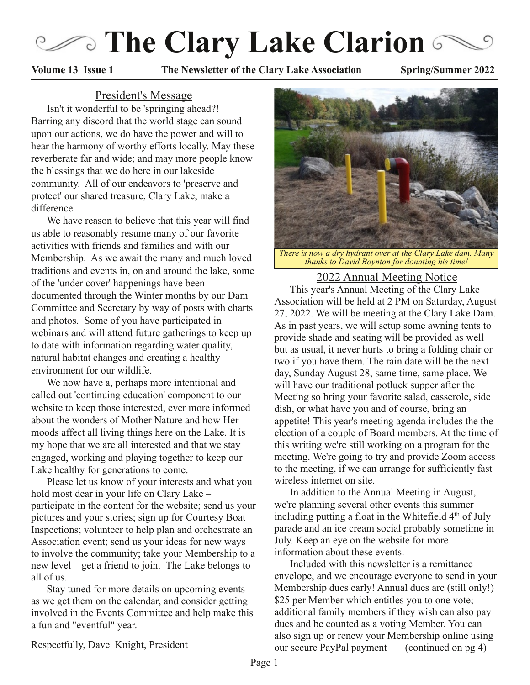# **Cary Lake Clarion**

**Volume 13 Issue 1 The Newsletter of the Clary Lake Association Spring/Summer 2022**

#### President's Message

Isn't it wonderful to be 'springing ahead?! Barring any discord that the world stage can sound upon our actions, we do have the power and will to hear the harmony of worthy efforts locally. May these reverberate far and wide; and may more people know the blessings that we do here in our lakeside community. All of our endeavors to 'preserve and protect' our shared treasure, Clary Lake, make a difference.

We have reason to believe that this year will find us able to reasonably resume many of our favorite activities with friends and families and with our Membership. As we await the many and much loved traditions and events in, on and around the lake, some of the 'under cover' happenings have been documented through the Winter months by our Dam Committee and Secretary by way of posts with charts and photos. Some of you have participated in webinars and will attend future gatherings to keep up to date with information regarding water quality, natural habitat changes and creating a healthy environment for our wildlife.

We now have a, perhaps more intentional and called out 'continuing education' component to our website to keep those interested, ever more informed about the wonders of Mother Nature and how Her moods affect all living things here on the Lake. It is my hope that we are all interested and that we stay engaged, working and playing together to keep our Lake healthy for generations to come.

Please let us know of your interests and what you hold most dear in your life on Clary Lake – participate in the content for the website; send us your pictures and your stories; sign up for Courtesy Boat Inspections; volunteer to help plan and orchestrate an Association event; send us your ideas for new ways to involve the community; take your Membership to a new level – get a friend to join. The Lake belongs to all of us.

Stay tuned for more details on upcoming events as we get them on the calendar, and consider getting involved in the Events Committee and help make this a fun and "eventful" year.



*There is now a dry hydrant over at the Clary Lake dam. Many thanks to David Boynton for donating his time!*

#### 2022 Annual Meeting Notice

This year's Annual Meeting of the Clary Lake Association will be held at 2 PM on Saturday, August 27, 2022. We will be meeting at the Clary Lake Dam. As in past years, we will setup some awning tents to provide shade and seating will be provided as well but as usual, it never hurts to bring a folding chair or two if you have them. The rain date will be the next day, Sunday August 28, same time, same place. We will have our traditional potluck supper after the Meeting so bring your favorite salad, casserole, side dish, or what have you and of course, bring an appetite! This year's meeting agenda includes the the election of a couple of Board members. At the time of this writing we're still working on a program for the meeting. We're going to try and provide Zoom access to the meeting, if we can arrange for sufficiently fast wireless internet on site.

In addition to the Annual Meeting in August, we're planning several other events this summer including putting a float in the Whitefield 4<sup>th</sup> of July parade and an ice cream social probably sometime in July. Keep an eye on the website for more information about these events.

Included with this newsletter is a remittance envelope, and we encourage everyone to send in your Membership dues early! Annual dues are (still only!) \$25 per Member which entitles you to one vote; additional family members if they wish can also pay dues and be counted as a voting Member. You can also sign up or renew your Membership online using our secure PayPal payment (continued on pg 4)

Respectfully, Dave Knight, President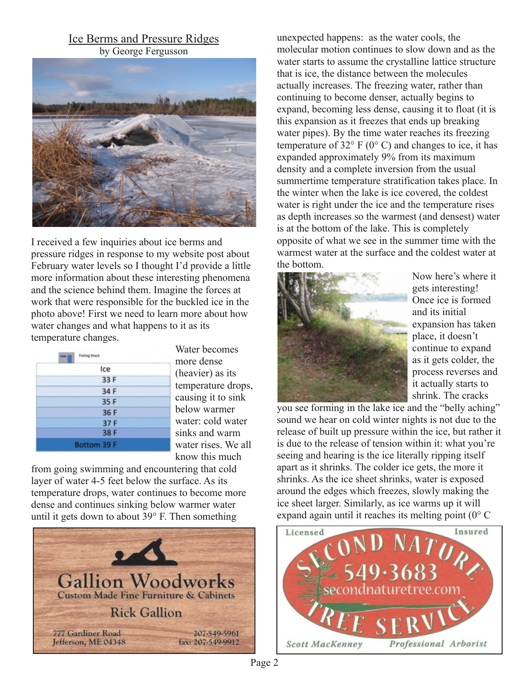### Ice Berms and Pressure Ridges by George Fergusson



I received a few inquiries about ice berms and pressure ridges in response to my website post about February water levels so I thought I'd provide a little more information about these interesting phenomena and the science behind them. Imagine the forces at work that were responsible for the buckled ice in the photo above! First we need to learn more about how water changes and what happens to it as its temperature changes.

| <b>Fishing Shack</b> |  |
|----------------------|--|
| Ice                  |  |
| 33 F                 |  |
| 34 F                 |  |
| 35F                  |  |
| 36 F                 |  |
| 37 F                 |  |
| 38 F                 |  |
| Bottom 39 F          |  |

Water becomes more dense (heavier) as its temperature drops, causing it to sink below warmer water: cold water sinks and warm water rises. We all know this much

from going swimming and encountering that cold layer of water 45 feet below the surface. As its temperature drops, water continues to become more dense and continues sinking below warmer water until it gets down to about 39° F. Then something



unexpected happens: as the water cools, the molecular motion continues to slow down and as the water starts to assume the crystalline lattice structure that is ice, the distance between the molecules actually increases. The freezing water, rather than continuing to become denser, actually begins to expand, becoming less dense, causing it to float (it is this expansion as it freezes that ends up breaking water pipes). By the time water reaches its freezing temperature of  $32^{\circ}$  F (0° C) and changes to ice, it has expanded approximately 9% from its maximum density and a complete inversion from the usual summertime temperature stratification takes place. In the winter when the lake is ice covered, the coldest water is right under the ice and the temperature rises as depth increases so the warmest (and densest) water is at the bottom of the lake. This is completely opposite of what we see in the summer time with the warmest water at the surface and the coldest water at the bottom.



Now here's where it gets interesting! Once ice is formed and its initial expansion has taken place, it doesn't continue to expand as it gets colder, the process reverses and it actually starts to shrink. The cracks

you see forming in the lake ice and the "belly aching" sound we hear on cold winter nights is not due to the release of built up pressure within the ice, but rather it is due to the release of tension within it: what you're seeing and hearing is the ice literally ripping itself apart as it shrinks. The colder ice gets, the more it shrinks. As the ice sheet shrinks, water is exposed around the edges which freezes, slowly making the ice sheet larger. Similarly, as ice warms up it will expand again until it reaches its melting point (0° C

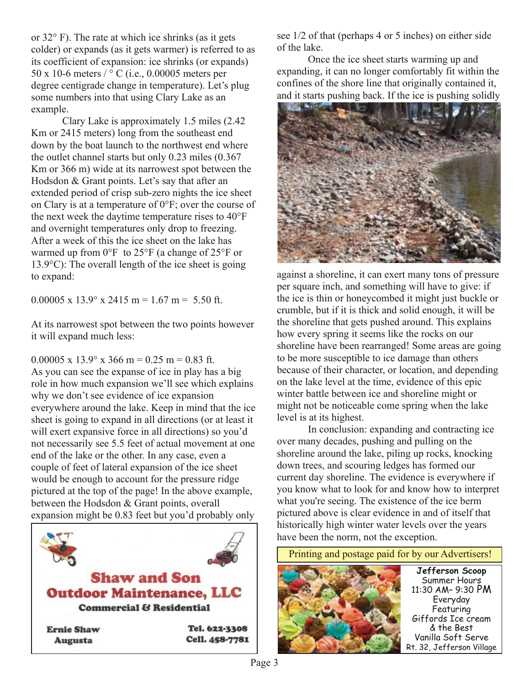or 32° F). The rate at which ice shrinks (as it gets colder) or expands (as it gets warmer) is referred to as its coefficient of expansion: ice shrinks (or expands) 50 x 10-6 meters  $\frac{1}{\infty}$  C (i.e., 0.00005 meters per degree centigrade change in temperature). Let's plug some numbers into that using Clary Lake as an example.

Clary Lake is approximately 1.5 miles (2.42 Km or 2415 meters) long from the southeast end down by the boat launch to the northwest end where the outlet channel starts but only 0.23 miles (0.367 Km or 366 m) wide at its narrowest spot between the Hodsdon & Grant points. Let's say that after an extended period of crisp sub-zero nights the ice sheet on Clary is at a temperature of 0°F; over the course of the next week the daytime temperature rises to 40°F and overnight temperatures only drop to freezing. After a week of this the ice sheet on the lake has warmed up from 0°F to 25°F (a change of 25°F or 13.9°C): The overall length of the ice sheet is going to expand:

0.00005 x  $13.9^{\circ}$  x 2415 m = 1.67 m = 5.50 ft.

At its narrowest spot between the two points however it will expand much less:

0.00005 x 13.9 $\degree$  x 366 m = 0.25 m = 0.83 ft. As you can see the expanse of ice in play has a big role in how much expansion we'll see which explains why we don't see evidence of ice expansion everywhere around the lake. Keep in mind that the ice sheet is going to expand in all directions (or at least it will exert expansive force in all directions) so you'd not necessarily see 5.5 feet of actual movement at one end of the lake or the other. In any case, even a couple of feet of lateral expansion of the ice sheet would be enough to account for the pressure ridge pictured at the top of the page! In the above example, between the Hodsdon & Grant points, overall expansion might be 0.83 feet but you'd probably only



see 1/2 of that (perhaps 4 or 5 inches) on either side of the lake.

Once the ice sheet starts warming up and expanding, it can no longer comfortably fit within the confines of the shore line that originally contained it, and it starts pushing back. If the ice is pushing solidly



against a shoreline, it can exert many tons of pressure per square inch, and something will have to give: if the ice is thin or honeycombed it might just buckle or crumble, but if it is thick and solid enough, it will be the shoreline that gets pushed around. This explains how every spring it seems like the rocks on our shoreline have been rearranged! Some areas are going to be more susceptible to ice damage than others because of their character, or location, and depending on the lake level at the time, evidence of this epic winter battle between ice and shoreline might or might not be noticeable come spring when the lake level is at its highest.

In conclusion: expanding and contracting ice over many decades, pushing and pulling on the shoreline around the lake, piling up rocks, knocking down trees, and scouring ledges has formed our current day shoreline. The evidence is everywhere if you know what to look for and know how to interpret what you're seeing. The existence of the ice berm pictured above is clear evidence in and of itself that historically high winter water levels over the years have been the norm, not the exception.

**Jefferson Scoop** Summer Hours 11:30 AM– 9:30 PM Everyday **Featuring** Giffords Ice cream & the Best Vanilla Soft Serve Rt. 32, Jefferson Village Printing and postage paid for by our Advertisers!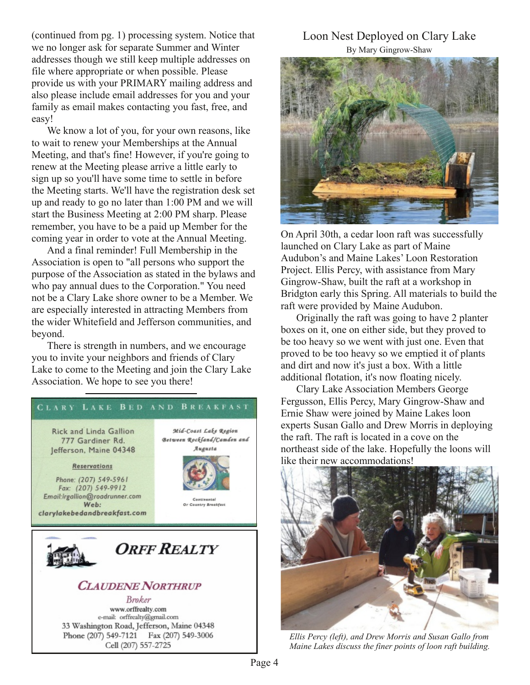(continued from pg. 1) processing system. Notice that we no longer ask for separate Summer and Winter addresses though we still keep multiple addresses on file where appropriate or when possible. Please provide us with your PRIMARY mailing address and also please include email addresses for you and your family as email makes contacting you fast, free, and easy!

We know a lot of you, for your own reasons, like to wait to renew your Memberships at the Annual Meeting, and that's fine! However, if you're going to renew at the Meeting please arrive a little early to sign up so you'll have some time to settle in before the Meeting starts. We'll have the registration desk set up and ready to go no later than 1:00 PM and we will start the Business Meeting at 2:00 PM sharp. Please remember, you have to be a paid up Member for the coming year in order to vote at the Annual Meeting.

And a final reminder! Full Membership in the Association is open to "all persons who support the purpose of the Association as stated in the bylaws and who pay annual dues to the Corporation." You need not be a Clary Lake shore owner to be a Member. We are especially interested in attracting Members from the wider Whitefield and Jefferson communities, and beyond.

There is strength in numbers, and we encourage you to invite your neighbors and friends of Clary Lake to come to the Meeting and join the Clary Lake Association. We hope to see you there!



### Loon Nest Deployed on Clary Lake By Mary Gingrow-Shaw



On April 30th, a cedar loon raft was successfully launched on Clary Lake as part of Maine Audubon's and Maine Lakes' Loon Restoration Project. Ellis Percy, with assistance from Mary Gingrow-Shaw, built the raft at a workshop in Bridgton early this Spring. All materials to build the raft were provided by Maine Audubon.

Originally the raft was going to have 2 planter boxes on it, one on either side, but they proved to be too heavy so we went with just one. Even that proved to be too heavy so we emptied it of plants and dirt and now it's just a box. With a little additional flotation, it's now floating nicely.

Clary Lake Association Members George Fergusson, Ellis Percy, Mary Gingrow-Shaw and Ernie Shaw were joined by Maine Lakes loon experts Susan Gallo and Drew Morris in deploying the raft. The raft is located in a cove on the northeast side of the lake. Hopefully the loons will like their new accommodations!



*Ellis Percy (left), and Drew Morris and Susan Gallo from Maine Lakes discuss the finer points of loon raft building.*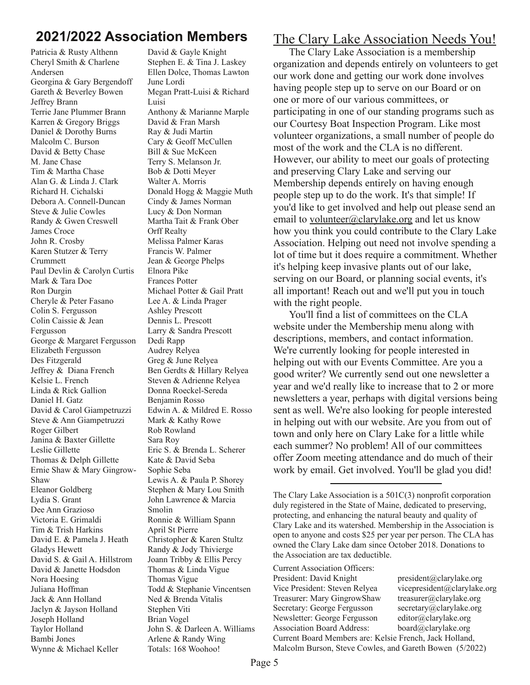# **2021/2022 Association Members**

Patricia & Rusty Althenn Cheryl Smith & Charlene Andersen Georgina & Gary Bergendoff Gareth & Beverley Bowen Jeffrey Brann Terrie Jane Plummer Brann Karren & Gregory Briggs Daniel & Dorothy Burns Malcolm C. Burson David & Betty Chase M. Jane Chase Tim & Martha Chase Alan G. & Linda J. Clark Richard H. Cichalski Debora A. Connell-Duncan Steve & Julie Cowles Randy & Gwen Creswell James Croce John R. Crosby Karen Stutzer & Terry Crummett Paul Devlin & Carolyn Curtis Mark & Tara Doe Ron Durgin Cheryle & Peter Fasano Colin S. Fergusson Colin Caissie & Jean Fergusson George & Margaret Fergusson Elizabeth Fergusson Des Fitzgerald Jeffrey & Diana French Kelsie L. French Linda & Rick Gallion Daniel H. Gatz David & Carol Giampetruzzi Steve & Ann Giampetruzzi Roger Gilbert Janina & Baxter Gillette Leslie Gillette Thomas & Delph Gillette Ernie Shaw & Mary Gingrow-Shaw Eleanor Goldberg Lydia S. Grant Dee Ann Grazioso Victoria E. Grimaldi Tim & Trish Harkins David E. & Pamela J. Heath Gladys Hewett David S. & Gail A. Hillstrom David & Janette Hodsdon Nora Hoesing Juliana Hoffman Jack & Ann Holland Jaclyn & Jayson Holland Joseph Holland Taylor Holland Bambi Jones Wynne & Michael Keller

David & Gayle Knight Stephen E. & Tina J. Laskey Ellen Dolce, Thomas Lawton June Lordi Megan Pratt-Luisi & Richard Luisi Anthony & Marianne Marple David & Fran Marsh Ray & Judi Martin Cary & Geoff McCullen Bill & Sue McKeen Terry S. Melanson Jr. Bob & Dotti Meyer Walter A. Morris Donald Hogg & Maggie Muth Cindy & James Norman Lucy & Don Norman Martha Tait & Frank Ober Orff Realty Melissa Palmer Karas Francis W. Palmer Jean & George Phelps Elnora Pike Frances Potter Michael Potter & Gail Pratt Lee A. & Linda Prager Ashley Prescott Dennis L. Prescott Larry & Sandra Prescott Dedi Rapp Audrey Relyea Greg & June Relyea Ben Gerdts & Hillary Relyea Steven & Adrienne Relyea Donna Roeckel-Sereda Benjamin Rosso Edwin A. & Mildred E. Rosso Mark & Kathy Rowe Rob Rowland Sara Roy Eric S. & Brenda L. Scherer Kate & David Seba Sophie Seba Lewis A. & Paula P. Shorey Stephen & Mary Lou Smith John Lawrence & Marcia Smolin Ronnie & William Spann April St Pierre Christopher & Karen Stultz Randy & Jody Thivierge Joann Tribby & Ellis Percy Thomas & Linda Vigue Thomas Vigue Todd & Stephanie Vincentsen Ned & Brenda Vitalis Stephen Viti Brian Vogel John S. & Darleen A. Williams Arlene & Randy Wing Totals: 168 Woohoo!

## The Clary Lake Association Needs You!

The Clary Lake Association is a membership organization and depends entirely on volunteers to get our work done and getting our work done involves having people step up to serve on our Board or on one or more of our various committees, or participating in one of our standing programs such as our Courtesy Boat Inspection Program. Like most volunteer organizations, a small number of people do most of the work and the CLA is no different. However, our ability to meet our goals of protecting and preserving Clary Lake and serving our Membership depends entirely on having enough people step up to do the work. It's that simple! If you'd like to get involved and help out please send an email to volunteer@clarylake.org and let us know how you think you could contribute to the Clary Lake Association. Helping out need not involve spending a lot of time but it does require a commitment. Whether it's helping keep invasive plants out of our lake, serving on our Board, or planning social events, it's all important! Reach out and we'll put you in touch with the right people.

You'll find a list of committees on the CLA website under the Membership menu along with descriptions, members, and contact information. We're currently looking for people interested in helping out with our Events Committee. Are you a good writer? We currently send out one newsletter a year and we'd really like to increase that to 2 or more newsletters a year, perhaps with digital versions being sent as well. We're also looking for people interested in helping out with our website. Are you from out of town and only here on Clary Lake for a little while each summer? No problem! All of our committees offer Zoom meeting attendance and do much of their work by email. Get involved. You'll be glad you did!

The Clary Lake Association is a 501C(3) nonprofit corporation duly registered in the State of Maine, dedicated to preserving, protecting, and enhancing the natural beauty and quality of Clary Lake and its watershed. Membership in the Association is open to anyone and costs \$25 per year per person. The CLA has owned the Clary Lake dam since October 2018. Donations to the Association are tax deductible.

Current Association Officers: President: David Knight president@clarylake.org Vice President: Steven Relyea vicepresident@clarylake.org Treasurer: Mary GingrowShaw treasurer@clarylake.org Secretary: George Fergusson secretary@clarylake.org Newsletter: George Fergusson editor@clarylake.org Association Board Address: board@clarylake.org Current Board Members are: Kelsie French, Jack Holland, Malcolm Burson, Steve Cowles, and Gareth Bowen (5/2022)